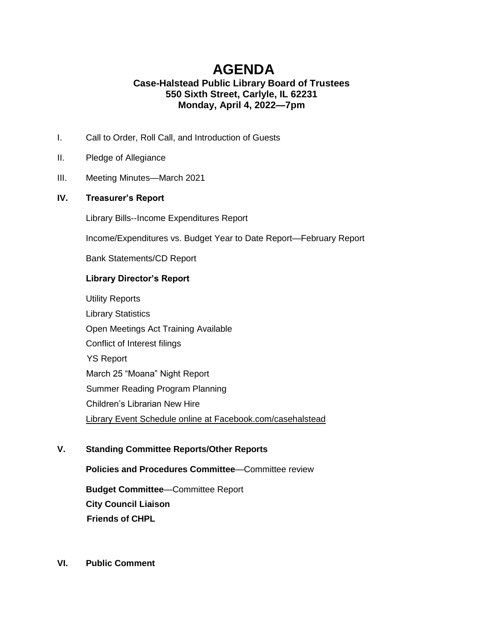# **AGENDA Case-Halstead Public Library Board of Trustees 550 Sixth Street, Carlyle, IL 62231 Monday, April 4, 2022—7pm**

- I. Call to Order, Roll Call, and Introduction of Guests
- II. Pledge of Allegiance
- III. Meeting Minutes—March 2021

## **IV. Treasurer's Report**

Library Bills--Income Expenditures Report

Income/Expenditures vs. Budget Year to Date Report—February Report

Bank Statements/CD Report

#### **Library Director's Report**

Utility Reports Library Statistics Open Meetings Act Training Available Conflict of Interest filings YS Report March 25 "Moana" Night Report Summer Reading Program Planning Children's Librarian New Hire Library Event Schedule online at Facebook.com/casehalstead

## **V. Standing Committee Reports/Other Reports**

**Policies and Procedures Committee**—Committee review

**Budget Committee**—Committee Report **City Council Liaison Friends of CHPL**

**VI. Public Comment**